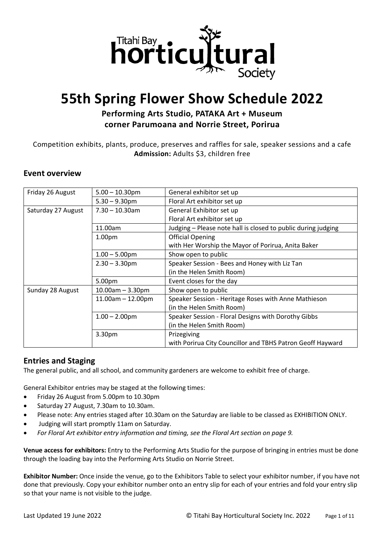

## **55th Spring Flower Show Schedule 2022**

## **Performing Arts Studio, PATAKA Art + Museum corner Parumoana and Norrie Street, Porirua**

Competition exhibits, plants, produce, preserves and raffles for sale, speaker sessions and a cafe **Admission:** Adults \$3, children free

## **Event overview**

| Friday 26 August   | $5.00 - 10.30$ pm     | General exhibitor set up                                      |  |  |
|--------------------|-----------------------|---------------------------------------------------------------|--|--|
|                    | $5.30 - 9.30$ pm      | Floral Art exhibitor set up                                   |  |  |
| Saturday 27 August | $7.30 - 10.30$ am     | General Exhibitor set up                                      |  |  |
|                    |                       | Floral Art exhibitor set up                                   |  |  |
|                    | 11.00am               | Judging - Please note hall is closed to public during judging |  |  |
|                    | 1.00 <sub>pm</sub>    | <b>Official Opening</b>                                       |  |  |
|                    |                       | with Her Worship the Mayor of Porirua, Anita Baker            |  |  |
|                    | $1.00 - 5.00$ pm      | Show open to public                                           |  |  |
|                    | $2.30 - 3.30$ pm      | Speaker Session - Bees and Honey with Liz Tan                 |  |  |
|                    |                       | (in the Helen Smith Room)                                     |  |  |
|                    | 5.00pm                | Event closes for the day                                      |  |  |
| Sunday 28 August   | $10.00$ am $-3.30$ pm | Show open to public                                           |  |  |
|                    | $11.00am - 12.00pm$   | Speaker Session - Heritage Roses with Anne Mathieson          |  |  |
|                    |                       | (in the Helen Smith Room)                                     |  |  |
|                    | $1.00 - 2.00$ pm      | Speaker Session - Floral Designs with Dorothy Gibbs           |  |  |
|                    |                       | (in the Helen Smith Room)                                     |  |  |
|                    | 3.30pm                | Prizegiving                                                   |  |  |
|                    |                       | with Porirua City Councillor and TBHS Patron Geoff Hayward    |  |  |

## **Entries and Staging**

The general public, and all school, and community gardeners are welcome to exhibit free of charge.

General Exhibitor entries may be staged at the following times:

- Friday 26 August from 5.00pm to 10.30pm
- Saturday 27 August, 7.30am to 10.30am.
- Please note: Any entries staged after 10.30am on the Saturday are liable to be classed as EXHIBITION ONLY.
- Judging will start promptly 11am on Saturday.
- *For Floral Art exhibitor entry information and timing, see the Floral Art section on page 9.*

**Venue access for exhibitors:** Entry to the Performing Arts Studio for the purpose of bringing in entries must be done through the loading bay into the Performing Arts Studio on Norrie Street.

**Exhibitor Number:** Once inside the venue, go to the Exhibitors Table to select your exhibitor number, if you have not done that previously. Copy your exhibitor number onto an entry slip for each of your entries and fold your entry slip so that your name is not visible to the judge.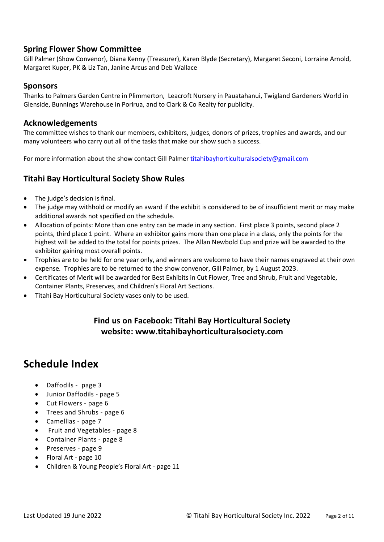## **Spring Flower Show Committee**

Gill Palmer (Show Convenor), Diana Kenny (Treasurer), Karen Blyde (Secretary), Margaret Seconi, Lorraine Arnold, Margaret Kuper, PK & Liz Tan, Janine Arcus and Deb Wallace

### **Sponsors**

Thanks to Palmers Garden Centre in Plimmerton, Leacroft Nursery in Pauatahanui, Twigland Gardeners World in Glenside, Bunnings Warehouse in Porirua, and to Clark & Co Realty for publicity.

### **Acknowledgements**

The committee wishes to thank our members, exhibitors, judges, donors of prizes, trophies and awards, and our many volunteers who carry out all of the tasks that make our show such a success.

For more information about the show contact Gill Palmer titahibayhorticulturalsociety@gmail.com

## **Titahi Bay Horticultural Society Show Rules**

- The judge's decision is final.
- The judge may withhold or modify an award if the exhibit is considered to be of insufficient merit or may make additional awards not specified on the schedule.
- Allocation of points: More than one entry can be made in any section. First place 3 points, second place 2 points, third place 1 point. Where an exhibitor gains more than one place in a class, only the points for the highest will be added to the total for points prizes. The Allan Newbold Cup and prize will be awarded to the exhibitor gaining most overall points.
- Trophies are to be held for one year only, and winners are welcome to have their names engraved at their own expense. Trophies are to be returned to the show convenor, Gill Palmer, by 1 August 2023.
- Certificates of Merit will be awarded for Best Exhibits in Cut Flower, Tree and Shrub, Fruit and Vegetable, Container Plants, Preserves, and Children's Floral Art Sections.
- Titahi Bay Horticultural Society vases only to be used.

## **Find us on Facebook: Titahi Bay Horticultural Society website: www.titahibayhorticulturalsociety.com**

## **Schedule Index**

- Daffodils page 3
- Junior Daffodils page 5
- Cut Flowers page 6
- Trees and Shrubs page 6
- Camellias page 7
- Fruit and Vegetables page 8
- Container Plants page 8
- Preserves page 9
- Floral Art page 10
- Children & Young People's Floral Art page 11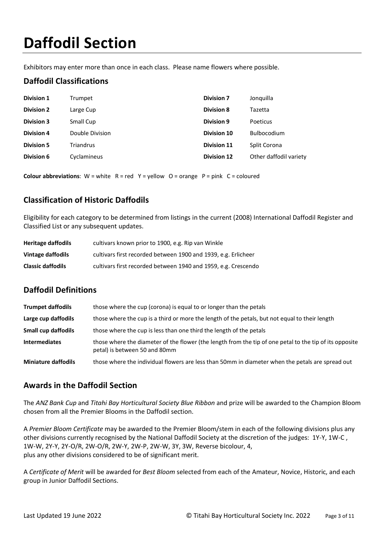# **Daffodil Section**

Exhibitors may enter more than once in each class. Please name flowers where possible.

## **Daffodil Classifications**

| <b>Division 1</b> | Trumpet         | <b>Division 7</b>  | Jonquilla              |
|-------------------|-----------------|--------------------|------------------------|
| <b>Division 2</b> | Large Cup       | <b>Division 8</b>  | Tazetta                |
| <b>Division 3</b> | Small Cup       | <b>Division 9</b>  | <b>Poeticus</b>        |
| <b>Division 4</b> | Double Division | <b>Division 10</b> | <b>Bulbocodium</b>     |
| <b>Division 5</b> | Triandrus       | <b>Division 11</b> | Split Corona           |
| <b>Division 6</b> | Cyclamineus     | <b>Division 12</b> | Other daffodil variety |
|                   |                 |                    |                        |

**Colour abbreviations:** W = white  $R = red$  Y = yellow  $Q = orange$  P = pink  $C = coloured$ 

## **Classification of Historic Daffodils**

Eligibility for each category to be determined from listings in the current (2008) International Daffodil Register and Classified List or any subsequent updates.

| <b>Heritage daffodils</b> | cultivars known prior to 1900, e.g. Rip van Winkle             |
|---------------------------|----------------------------------------------------------------|
| Vintage daffodils         | cultivars first recorded between 1900 and 1939, e.g. Erlicheer |
| <b>Classic daffodils</b>  | cultivars first recorded between 1940 and 1959, e.g. Crescendo |

## **Daffodil Definitions**

| <b>Trumpet daffodils</b>   | those where the cup (corona) is equal to or longer than the petals                                                                       |
|----------------------------|------------------------------------------------------------------------------------------------------------------------------------------|
| Large cup daffodils        | those where the cup is a third or more the length of the petals, but not equal to their length                                           |
| Small cup daffodils        | those where the cup is less than one third the length of the petals                                                                      |
| <b>Intermediates</b>       | those where the diameter of the flower (the length from the tip of one petal to the tip of its opposite<br>petal) is between 50 and 80mm |
| <b>Miniature daffodils</b> | those where the individual flowers are less than 50mm in diameter when the petals are spread out                                         |

## **Awards in the Daffodil Section**

The *ANZ Bank Cup* and *Titahi Bay Horticultural Society Blue Ribbon* and prize will be awarded to the Champion Bloom chosen from all the Premier Blooms in the Daffodil section.

A *Premier Bloom Certificate* may be awarded to the Premier Bloom/stem in each of the following divisions plus any other divisions currently recognised by the National Daffodil Society at the discretion of the judges: 1Y-Y, 1W-C , 1W-W, 2Y-Y, 2Y-O/R, 2W-O/R, 2W-Y, 2W-P, 2W-W, 3Y, 3W, Reverse bicolour, 4, plus any other divisions considered to be of significant merit.

A *Certificate of Merit* will be awarded for *Best Bloom* selected from each of the Amateur, Novice, Historic, and each group in Junior Daffodil Sections.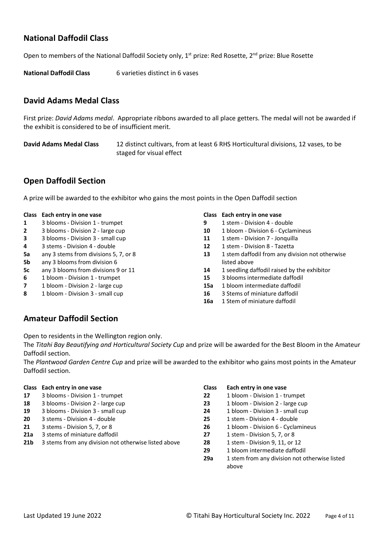## **National Daffodil Class**

Open to members of the National Daffodil Society only, 1<sup>st</sup> prize: Red Rosette, 2<sup>nd</sup> prize: Blue Rosette

**National Daffodil Class** 6 varieties distinct in 6 vases

## **David Adams Medal Class**

First prize: *David Adams medal*. Appropriate ribbons awarded to all place getters. The medal will not be awarded if the exhibit is considered to be of insufficient merit.

**David Adams Medal Class** 12 distinct cultivars, from at least 6 RHS Horticultural divisions, 12 vases, to be staged for visual effect

## **Open Daffodil Section**

A prize will be awarded to the exhibitor who gains the most points in the Open Daffodil section

- **1** 3 blooms Division 1 trumpet
- **2** 3 blooms Division 2 large cup
- **3** 3 blooms Division 3 small cup
- **4** 3 stems Division 4 double
- **5a** any 3 stems from divisions 5, 7, or 8
- **5b** any 3 blooms from division 6
- **5c** any 3 blooms from divisions 9 or 11
- **6** 1 bloom Division 1 trumpet
- **7** 1 bloom Division 2 large cup
- **8** 1 bloom Division 3 small cup

| <b>Class</b> | Each entry in one vase                          |
|--------------|-------------------------------------------------|
| 9            | 1 stem - Division 4 - double                    |
| 10           | 1 bloom - Division 6 - Cyclamineus              |
| 11           | 1 stem - Division 7 - Jonguilla                 |
| 12           | 1 stem - Division 8 - Tazetta                   |
| 13           | 1 stem daffodil from any division not otherwise |
|              | listed above                                    |
| 14           | 1 seedling daffodil raised by the exhibitor     |
| 15           | 3 blooms intermediate daffodil                  |
| 15a          | 1 bloom intermediate daffodil                   |
| 16           | 3 Stems of miniature daffodil                   |
| 16а          | 1 Stem of miniature daffodil                    |
|              |                                                 |

### **Amateur Daffodil Section**

Open to residents in the Wellington region only.

The *Titahi Bay Beautifying and Horticultural Society Cup* and prize will be awarded for the Best Bloom in the Amateur Daffodil section.

The *Plantwood Garden Centre Cup* and prize will be awarded to the exhibitor who gains most points in the Amateur Daffodil section.

#### **Class Each entry in one vase**

- **17** 3 blooms Division 1 trumpet
- **18** 3 blooms Division 2 large cup
- **19** 3 blooms Division 3 small cup
- **20** 3 stems Division 4 double
- **21** 3 stems Division 5, 7, or 8
- **21a** 3 stems of miniature daffodil
- **21b** 3 stems from any division not otherwise listed above

### **Class Each entry in one vase**

- **22** 1 bloom Division 1 trumpet
- **23** 1 bloom Division 2 large cup
- **24** 1 bloom Division 3 small cup
- **25** 1 stem Division 4 double
- **26** 1 bloom Division 6 Cyclamineus
- **27** 1 stem Division 5, 7, or 8
- **28** 1 stem Division 9, 11, or 12
- **29** 1 bloom intermediate daffodil
- **29a** 1 stem from any division not otherwise listed above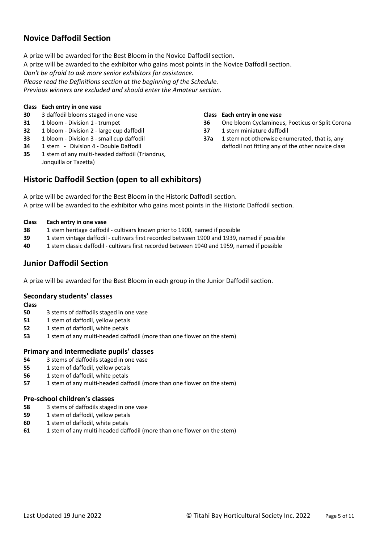## **Novice Daffodil Section**

A prize will be awarded for the Best Bloom in the Novice Daffodil section. A prize will be awarded to the exhibitor who gains most points in the Novice Daffodil section. *Don't be afraid to ask more senior exhibitors for assistance. Please read the Definitions section at the beginning of the Schedule. Previous winners are excluded and should enter the Amateur section.*

#### **Class Each entry in one vase**

- **30** 3 daffodil blooms staged in one vase
- **31** 1 bloom Division 1 trumpet
- **32** 1 bloom Division 2 large cup daffodil
- **33** 1 bloom Division 3 small cup daffodil
- **34** 1 stem Division 4 Double Daffodil
- **35** 1 stem of any multi-headed daffodil (Triandrus, Jonquilla or Tazetta)

#### **Class Each entry in one vase**

- **36** One bloom Cyclamineus, Poeticus or Split Corona
- **37** 1 stem miniature daffodil
- **37a** 1 stem not otherwise enumerated, that is, any daffodil not fitting any of the other novice class

## **Historic Daffodil Section (open to all exhibitors)**

A prize will be awarded for the Best Bloom in the Historic Daffodil section. A prize will be awarded to the exhibitor who gains most points in the Historic Daffodil section.

#### **Class Each entry in one vase**

- **38** 1 stem heritage daffodil cultivars known prior to 1900, named if possible
- **39** 1 stem vintage daffodil cultivars first recorded between 1900 and 1939, named if possible
- **40** 1 stem classic daffodil cultivars first recorded between 1940 and 1959, named if possible

### **Junior Daffodil Section**

A prize will be awarded for the Best Bloom in each group in the Junior Daffodil section.

#### **Secondary students' classes**

**Class**

- **50** 3 stems of daffodils staged in one vase
- **51** 1 stem of daffodil, yellow petals
- **52** 1 stem of daffodil, white petals
- **53** 1 stem of any multi-headed daffodil (more than one flower on the stem)

### **Primary and Intermediate pupils' classes**

- **54** 3 stems of daffodils staged in one vase
- **55** 1 stem of daffodil, yellow petals
- **56** 1 stem of daffodil, white petals
- **57** 1 stem of any multi-headed daffodil (more than one flower on the stem)

#### **Pre-school children's classes**

- **58** 3 stems of daffodils staged in one vase
- **59** 1 stem of daffodil, yellow petals
- **60** 1 stem of daffodil, white petals
- **61** 1 stem of any multi-headed daffodil (more than one flower on the stem)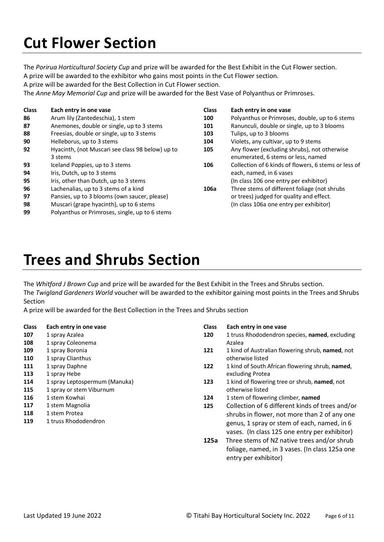# **Cut Flower Section**

The *Porirua Horticultural Society Cup* and prize will be awarded for the Best Exhibit in the Cut Flower section. A prize will be awarded to the exhibitor who gains most points in the Cut Flower section.

A prize will be awarded for the Best Collection in Cut Flower section.

The *Anne May Memorial Cup* and prize will be awarded for the Best Vase of Polyanthus or Primroses.

| <b>Class</b> | Each entry in one vase                           | <b>Class</b> | Each entry in one vase                               |
|--------------|--------------------------------------------------|--------------|------------------------------------------------------|
| 86           | Arum lily (Zantedeschia), 1 stem                 | 100          | Polyanthus or Primroses, double, up to 6 stems       |
| 87           | Anemones, double or single, up to 3 stems        | 101          | Ranunculi, double or single, up to 3 blooms          |
| 88           | Freesias, double or single, up to 3 stems        | 103          | Tulips, up to 3 blooms                               |
| 90           | Helleborus, up to 3 stems                        | 104          | Violets, any cultivar, up to 9 stems                 |
| 92           | Hyacinth, (not Muscari see class 98 below) up to | 105          | Any flower (excluding shrubs), not otherwise         |
|              | 3 stems                                          |              | enumerated, 6 stems or less, named                   |
| 93           | Iceland Poppies, up to 3 stems                   | 106          | Collection of 6 kinds of flowers, 6 stems or less of |
| 94           | Iris, Dutch, up to 3 stems                       |              | each, named, in 6 vases                              |
| 95           | Iris, other than Dutch, up to 3 stems            |              | (In class 106 one entry per exhibitor)               |
| 96           | Lachenalias, up to 3 stems of a kind             | 106a         | Three stems of different foliage (not shrubs         |
| 97           | Pansies, up to 3 blooms (own saucer, please)     |              | or trees) judged for quality and effect.             |
| 98           | Muscari (grape hyacinth), up to 6 stems          |              | (In class 106a one entry per exhibitor)              |
| 99           | Polyanthus or Primroses, single, up to 6 stems   |              |                                                      |

## **Trees and Shrubs Section**

The *Whitford J Brown Cup* and prize will be awarded for the Best Exhibit in the Trees and Shrubs section. The *Twigland Gardeners World* voucher will be awarded to the exhibitor gaining most points in the Trees and Shrubs Section

A prize will be awarded for the Best Collection in the Trees and Shrubs section

| <b>Class</b> |  | Each entry in one vase |  |  |  |
|--------------|--|------------------------|--|--|--|
|--------------|--|------------------------|--|--|--|

- **107** 1 spray Azalea
- **108** 1 spray Coleonema
- **109** 1 spray Boronia
- 110 1 spray Clianthus **111** 1 spray Daphne
- 113 1 spray Hebe
- 
- 114 1 spray Leptospermum (Manuka) **115** 1 spray or stem Viburnum
- **116** 1 stem Kowhai
- **117** 1 stem Magnolia
- **118** 1 stem Protea
- **119** 1 truss Rhododendron

- **120** 1 truss Rhododendron species, **named**, excluding Azalea
- **121** 1 kind of Australian flowering shrub, **named**, not otherwise listed
- **122** 1 kind of South African flowering shrub, **named**, excluding Protea
- **123** 1 kind of flowering tree or shrub, **named**, not otherwise listed
- **124** 1 stem of flowering climber, **named**
- **125** Collection of 6 different kinds of trees and/or shrubs in flower, not more than 2 of any one genus, 1 spray or stem of each, named, in 6 vases. (In class 125 one entry per exhibitor)
- **125a** Three stems of NZ native trees and/or shrub foliage, named, in 3 vases. (In class 125a one entry per exhibitor)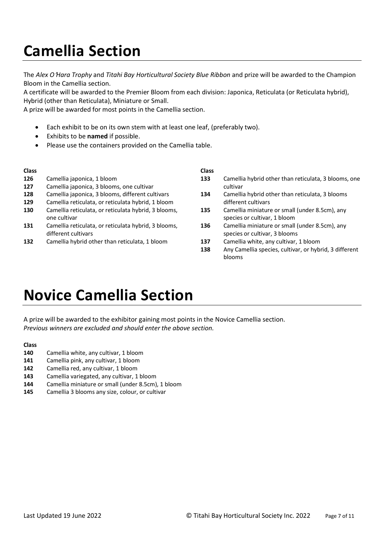## **Camellia Section**

The *Alex O*'*Hara Trophy* and *Titahi Bay Horticultural Society Blue Ribbon* and prize will be awarded to the Champion Bloom in the Camellia section.

A certificate will be awarded to the Premier Bloom from each division: Japonica, Reticulata (or Reticulata hybrid), Hybrid (other than Reticulata), Miniature or Small.

A prize will be awarded for most points in the Camellia section.

- Each exhibit to be on its own stem with at least one leaf, (preferably two).
- Exhibits to be **named** if possible.
- Please use the containers provided on the Camellia table.

#### **Class**

- **126** Camellia japonica, 1 bloom
- **127** Camellia japonica, 3 blooms, one cultivar
- **128** Camellia japonica, 3 blooms, different cultivars
- **129** Camellia reticulata, or reticulata hybrid, 1 bloom
- **130** Camellia reticulata, or reticulata hybrid, 3 blooms, one cultivar
- **131** Camellia reticulata, or reticulata hybrid, 3 blooms, different cultivars
- **132** Camellia hybrid other than reticulata, 1 bloom

**Class**

- **133** Camellia hybrid other than reticulata, 3 blooms, one cultivar
- **134** Camellia hybrid other than reticulata, 3 blooms different cultivars
- **135** Camellia miniature or small (under 8.5cm), any species or cultivar, 1 bloom
- **136** Camellia miniature or small (under 8.5cm), any species or cultivar, 3 blooms
- **137** Camellia white, any cultivar, 1 bloom
- **138** Any Camellia species, cultivar, or hybrid, 3 different blooms

## **Novice Camellia Section**

A prize will be awarded to the exhibitor gaining most points in the Novice Camellia section. *Previous winners are excluded and should enter the above section.*

#### **Class**

- **140** Camellia white, any cultivar, 1 bloom
- **141** Camellia pink, any cultivar, 1 bloom
- **142** Camellia red, any cultivar, 1 bloom
- **143** Camellia variegated, any cultivar, 1 bloom
- **144** Camellia miniature or small (under 8.5cm), 1 bloom
- **145** Camellia 3 blooms any size, colour, or cultivar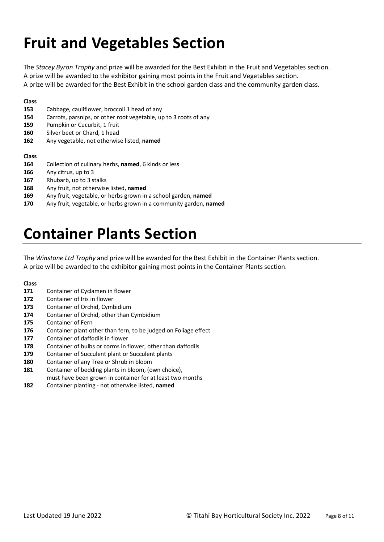# **Fruit and Vegetables Section**

The *Stacey Byron Trophy* and prize will be awarded for the Best Exhibit in the Fruit and Vegetables section. A prize will be awarded to the exhibitor gaining most points in the Fruit and Vegetables section. A prize will be awarded for the Best Exhibit in the school garden class and the community garden class.

### **Class**

- Cabbage, cauliflower, broccoli 1 head of any
- Carrots, parsnips, or other root vegetable, up to 3 roots of any
- Pumpkin or Cucurbit, 1 fruit
- Silver beet or Chard, 1 head
- Any vegetable, not otherwise listed, **named**

#### **Class**

- Collection of culinary herbs, **named**, 6 kinds or less
- Any citrus, up to 3
- Rhubarb, up to 3 stalks
- Any fruit, not otherwise listed, **named**
- Any fruit, vegetable, or herbs grown in a school garden, **named**
- Any fruit, vegetable, or herbs grown in a community garden, **named**

## **Container Plants Section**

The *Winstone Ltd Trophy* and prize will be awarded for the Best Exhibit in the Container Plants section. A prize will be awarded to the exhibitor gaining most points in the Container Plants section.

### **Class**

- Container of Cyclamen in flower
- Container of Iris in flower
- Container of Orchid, Cymbidium
- Container of Orchid, other than Cymbidium
- Container of Fern
- Container plant other than fern, to be judged on Foliage effect
- Container of daffodils in flower
- Container of bulbs or corms in flower, other than daffodils
- Container of Succulent plant or Succulent plants
- Container of any Tree or Shrub in bloom
- Container of bedding plants in bloom, (own choice), must have been grown in container for at least two months
- Container planting not otherwise listed, **named**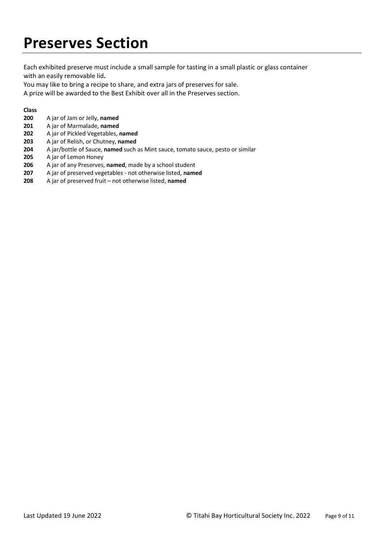## **Preserves Section**

Each exhibited preserve must include a small sample for tasting in a small plastic or glass container with an easily removable lid**.**

You may like to bring a recipe to share, and extra jars of preserves for sale.

A prize will be awarded to the Best Exhibit over all in the Preserves section.

**Class**

- **200** A jar of Jam or Jelly, **named**
- **201** A jar of Marmalade, **named**
- **202** A jar of Pickled Vegetables, **named**
- **203** A jar of Relish, or Chutney, **named**
- **204** A jar/bottle of Sauce, **named** such as Mint sauce, tomato sauce, pesto or similar
- **205** A jar of Lemon Honey
- **206** A jar of any Preserves, **named**, made by a school student
- **207** A jar of preserved vegetables not otherwise listed, **named**
- **208** A jar of preserved fruit not otherwise listed, **named**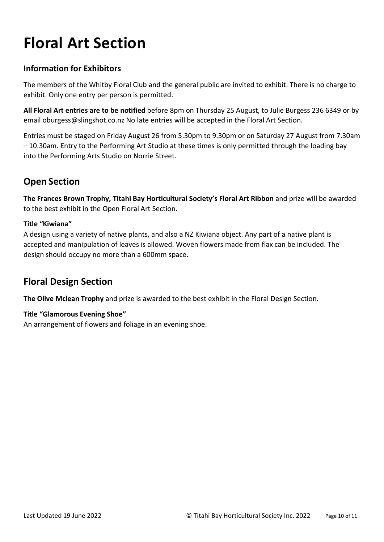# **Floral Art Section**

## **Information for Exhibitors**

The members of the Whitby Floral Club and the general public are invited to exhibit. There is no charge to exhibit. Only one entry per person is permitted.

**All Floral Art entries are to be notified** before 8pm on Thursday 25 August, to Julie Burgess 236 6349 or by email oburgess@slingshot.co.nz No late entries will be accepted in the Floral Art Section.

Entries must be staged on Friday August 26 from 5.30pm to 9.30pm or on Saturday 27 August from 7.30am – 10.30am. Entry to the Performing Art Studio at these times is only permitted through the loading bay into the Performing Arts Studio on Norrie Street.

## **Open Section**

**The Frances Brown Trophy, Titahi Bay Horticultural Society's Floral Art Ribbon** and prize will be awarded to the best exhibit in the Open Floral Art Section.

## **Title "Kiwiana"**

A design using a variety of native plants, and also a NZ Kiwiana object. Any part of a native plant is accepted and manipulation of leaves is allowed. Woven flowers made from flax can be included. The design should occupy no more than a 600mm space.

## **Floral Design Section**

**The Olive Mclean Trophy** and prize is awarded to the best exhibit in the Floral Design Section.

### **Title "Glamorous Evening Shoe"**

An arrangement of flowers and foliage in an evening shoe.